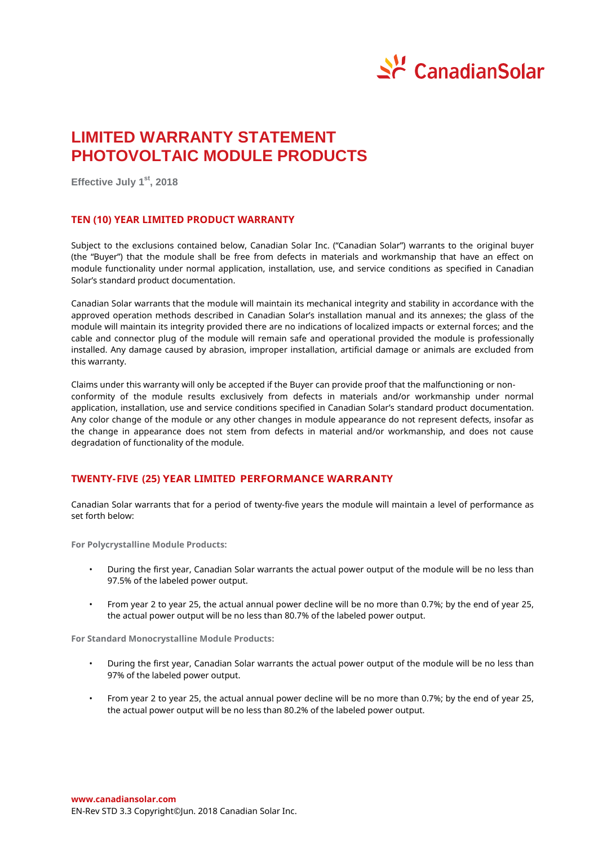

# **LIMITED WARRANTY STATEMENT PHOTOVOLTAIC MODULE PRODUCTS**

**Effective July 1 st, 2018**

## **TEN (10) YEAR LIMITED PRODUCT WARRANTY**

Subject to the exclusions contained below, Canadian Solar Inc. ("Canadian Solar") warrants to the original buyer (the "Buyer") that the module shall be free from defects in materials and workmanship that have an effect on module functionality under normal application, installation, use, and service conditions as specified in Canadian Solar's standard product documentation.

Canadian Solar warrants that the module will maintain its mechanical integrity and stability in accordance with the approved operation methods described in Canadian Solar's installation manual and its annexes; the glass of the module will maintain its integrity provided there are no indications of localized impacts or external forces; and the cable and connector plug of the module will remain safe and operational provided the module is professionally installed. Any damage caused by abrasion, improper installation, artificial damage or animals are excluded from this warranty.

Claims under this warranty will only be accepted if the Buyer can provide proof that the malfunctioning or nonconformity of the module results exclusively from defects in materials and/or workmanship under normal application, installation, use and service conditions specified in Canadian Solar's standard product documentation. Any color change of the module or any other changes in module appearance do not represent defects, insofar as the change in appearance does not stem from defects in material and/or workmanship, and does not cause degradation of functionality of the module.

## **TWENTY-FIVE (25) YEAR LIMITED PERFORMANCE WARRANTY**

Canadian Solar warrants that for a period of twenty-five years the module will maintain a level of performance as set forth below:

**For Polycrystalline Module Products:**

- During the first year, Canadian Solar warrants the actual power output of the module will be no less than 97.5% of the labeled power output.
- From year 2 to year 25, the actual annual power decline will be no more than 0.7%; by the end of year 25, the actual power output will be no less than 80.7% of the labeled power output.

**For Standard Monocrystalline Module Products:**

- During the first year, Canadian Solar warrants the actual power output of the module will be no less than 97% of the labeled power output.
- From year 2 to year 25, the actual annual power decline will be no more than 0.7%; by the end of year 25, the actual power output will be no less than 80.2% of the labeled power output.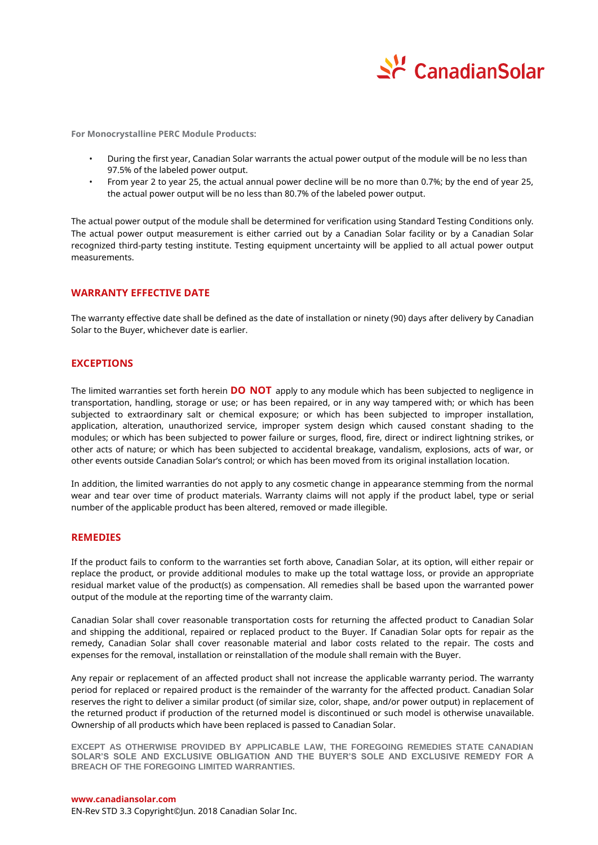

**For Monocrystalline PERC Module Products:**

- During the first year, Canadian Solar warrants the actual power output of the module will be no less than 97.5% of the labeled power output.
- From year 2 to year 25, the actual annual power decline will be no more than 0.7%; by the end of year 25, the actual power output will be no less than 80.7% of the labeled power output.

The actual power output of the module shall be determined for verification using Standard Testing Conditions only. The actual power output measurement is either carried out by a Canadian Solar facility or by a Canadian Solar recognized third-party testing institute. Testing equipment uncertainty will be applied to all actual power output measurements.

# **WARRANTY EFFECTIVE DATE**

The warranty effective date shall be defined as the date of installation or ninety (90) days after delivery by Canadian Solar to the Buyer, whichever date is earlier.

#### **EXCEPTIONS**

The limited warranties set forth herein **DO NOT** apply to any module which has been subjected to negligence in transportation, handling, storage or use; or has been repaired, or in any way tampered with; or which has been subjected to extraordinary salt or chemical exposure; or which has been subjected to improper installation, application, alteration, unauthorized service, improper system design which caused constant shading to the modules; or which has been subjected to power failure or surges, flood, fire, direct or indirect lightning strikes, or other acts of nature; or which has been subjected to accidental breakage, vandalism, explosions, acts of war, or other events outside Canadian Solar's control; or which has been moved from its original installation location.

In addition, the limited warranties do not apply to any cosmetic change in appearance stemming from the normal wear and tear over time of product materials. Warranty claims will not apply if the product label, type or serial number of the applicable product has been altered, removed or made illegible.

#### **REMEDIES**

If the product fails to conform to the warranties set forth above, Canadian Solar, at its option, will either repair or replace the product, or provide additional modules to make up the total wattage loss, or provide an appropriate residual market value of the product(s) as compensation. All remedies shall be based upon the warranted power output of the module at the reporting time of the warranty claim.

Canadian Solar shall cover reasonable transportation costs for returning the affected product to Canadian Solar and shipping the additional, repaired or replaced product to the Buyer. If Canadian Solar opts for repair as the remedy, Canadian Solar shall cover reasonable material and labor costs related to the repair. The costs and expenses for the removal, installation or reinstallation of the module shall remain with the Buyer.

Any repair or replacement of an affected product shall not increase the applicable warranty period. The warranty period for replaced or repaired product is the remainder of the warranty for the affected product. Canadian Solar reserves the right to deliver a similar product (of similar size, color, shape, and/or power output) in replacement of the returned product if production of the returned model is discontinued or such model is otherwise unavailable. Ownership of all products which have been replaced is passed to Canadian Solar.

**EXCEPT AS OTHERWISE PROVIDED BY APPLICABLE LAW, THE FOREGOING REMEDIES STATE CANADIAN SOLAR'S SOLE AND EXCLUSIVE OBLIGATION AND THE BUYER'S SOLE AND EXCLUSIVE REMEDY FOR A BREACH OF THE FOREGOING LIMITED WARRANTIES.**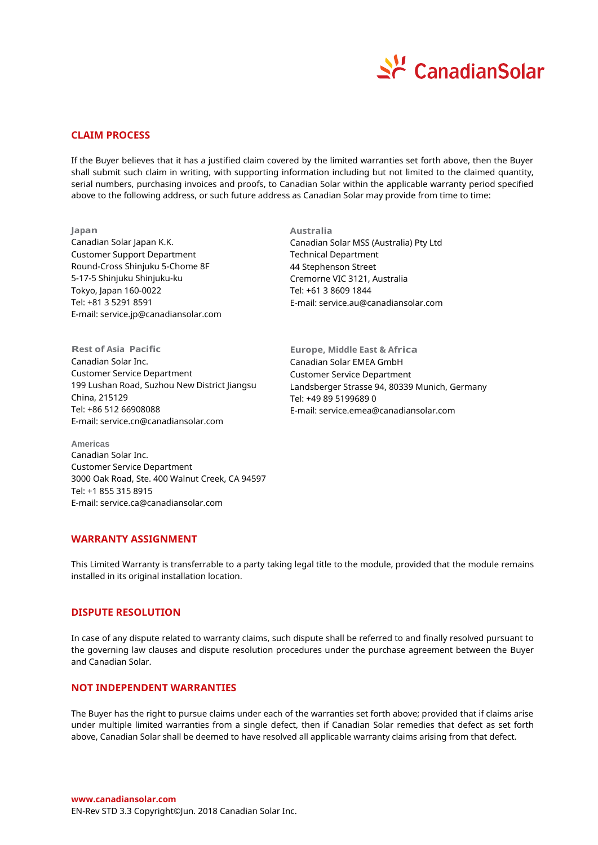

# **CLAIM PROCESS**

If the Buyer believes that it has a justified claim covered by the limited warranties set forth above, then the Buyer shall submit such claim in writing, with supporting information including but not limited to the claimed quantity, serial numbers, purchasing invoices and proofs, to Canadian Solar within the applicable warranty period specified above to the following address, or such future address as Canadian Solar may provide from time to time:

**Japan** Canadian Solar Japan K.K. Customer Support Department Round-Cross Shinjuku 5-Chome 8F 5-17-5 Shinjuku Shinjuku-ku Tokyo, Japan 160-0022 Tel: +81 3 5291 8591 E-mail: service.jp@canadiansolar.com

**Rest of Asia Pacific** Canadian Solar Inc. Customer Service Department 199 Lushan Road, Suzhou New District Jiangsu China, 215129 Tel: +86 512 66908088 E-mail: service.cn@canadiansolar.com

**Australia** Canadian Solar MSS (Australia) Pty Ltd Technical Department 44 Stephenson Street Cremorne VIC 3121, Australia Tel: +61 3 8609 1844 E-mail: service.au@canadiansolar.com

**Europe, Middle East & Africa**  Canadian Solar EMEA GmbH Customer Service Department Landsberger Strasse 94, 80339 Munich, Germany Tel: +49 89 5199689 0 E-mail: service.emea@canadiansolar.com

**Americas** Canadian Solar Inc. Customer Service Department 3000 Oak Road, Ste. 400 Walnut Creek, CA 94597 Tel: +1 855 315 8915 E-mail: service.ca@canadiansolar.com

## **WARRANTY ASSIGNMENT**

This Limited Warranty is transferrable to a party taking legal title to the module, provided that the module remains installed in its original installation location.

# **DISPUTE RESOLUTION**

In case of any dispute related to warranty claims, such dispute shall be referred to and finally resolved pursuant to the governing law clauses and dispute resolution procedures under the purchase agreement between the Buyer and Canadian Solar.

# **NOT INDEPENDENT WARRANTIES**

The Buyer has the right to pursue claims under each of the warranties set forth above; provided that if claims arise under multiple limited warranties from a single defect, then if Canadian Solar remedies that defect as set forth above, Canadian Solar shall be deemed to have resolved all applicable warranty claims arising from that defect.